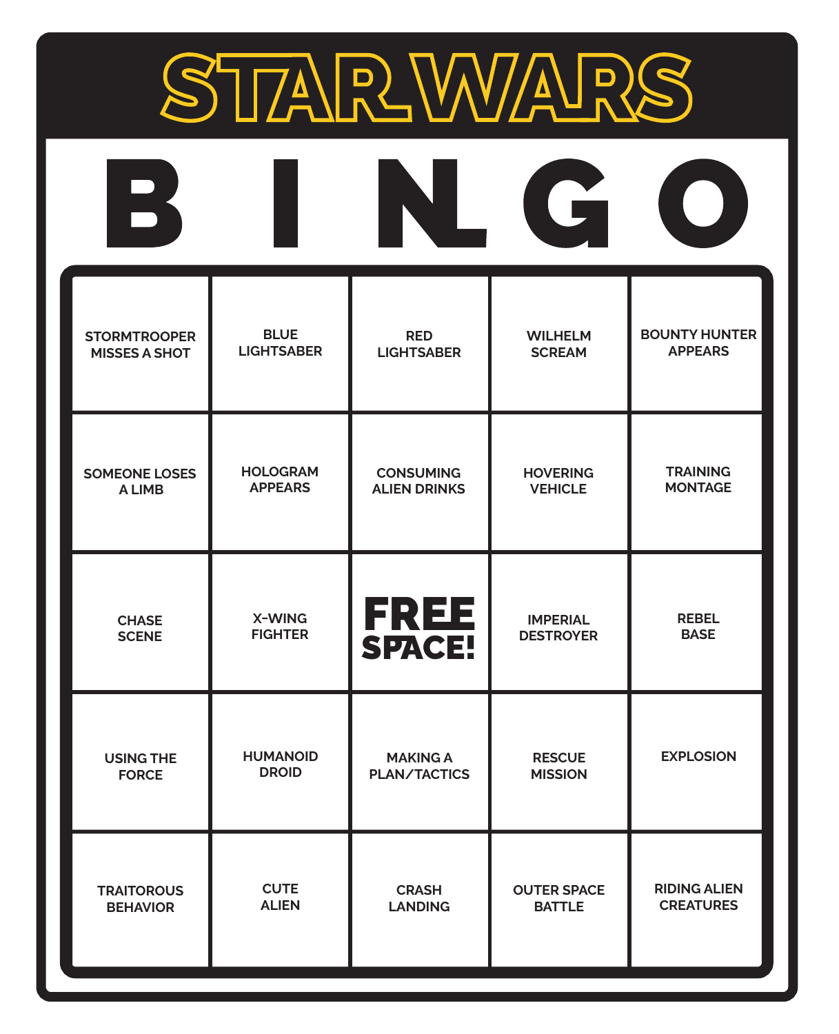

| $\mathbf{P}$         |                   |                     | G                  |                      |
|----------------------|-------------------|---------------------|--------------------|----------------------|
| <b>STORMTROOPER</b>  | <b>BLUE</b>       | <b>RED</b>          | <b>WILHELM</b>     | <b>BOUNTY HUNTER</b> |
| <b>MISSES A SHOT</b> | <b>LIGHTSABER</b> | <b>LIGHTSABER</b>   | <b>SCREAM</b>      | <b>APPEARS</b>       |
| <b>SOMEONE LOSES</b> | <b>HOLOGRAM</b>   | <b>CONSUMING</b>    | <b>HOVERING</b>    | <b>TRAINING</b>      |
| A LIMB               | <b>APPEARS</b>    | <b>ALIEN DRINKS</b> | <b>VEHICLE</b>     | <b>MONTAGE</b>       |
| <b>CHASE</b>         | X-WING            | <b>FREE</b>         | <b>IMPERIAL</b>    | <b>REBEL</b>         |
| <b>SCENE</b>         | <b>FIGHTER</b>    | <b>SPACE!</b>       | <b>DESTROYER</b>   | <b>BASE</b>          |
| <b>USING THE</b>     | <b>HUMANOID</b>   | <b>MAKING A</b>     | <b>RESCUE</b>      | <b>EXPLOSION</b>     |
| <b>FORCE</b>         | <b>DROID</b>      | <b>PLAN/TACTICS</b> | <b>MISSION</b>     |                      |
| <b>TRAITOROUS</b>    | <b>CUTE</b>       | <b>CRASH</b>        | <b>OUTER SPACE</b> | <b>RIDING ALIEN</b>  |
| <b>BEHAVIOR</b>      | <b>ALIEN</b>      | <b>LANDING</b>      | <b>BATTLE</b>      | <b>CREATURES</b>     |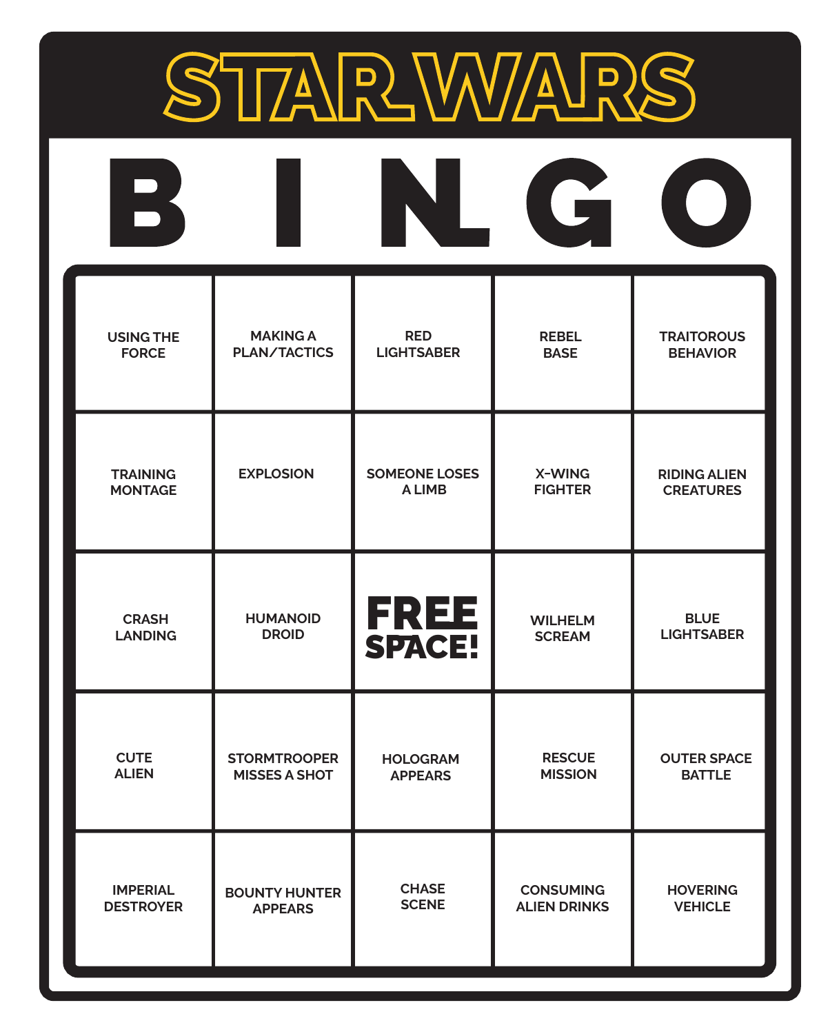

| $\overline{\phantom{a}}$ |                      |                       | Li                  |                     |
|--------------------------|----------------------|-----------------------|---------------------|---------------------|
| <b>USING THE</b>         | <b>MAKING A</b>      | <b>RED</b>            | <b>REBEL</b>        | <b>TRAITOROUS</b>   |
| <b>FORCE</b>             | <b>PLAN/TACTICS</b>  | <b>LIGHTSABER</b>     | <b>BASE</b>         | <b>BEHAVIOR</b>     |
| <b>TRAINING</b>          | <b>EXPLOSION</b>     | <b>SOMEONE LOSES</b>  | X-WING              | <b>RIDING ALIEN</b> |
| <b>MONTAGE</b>           |                      | <b>ALIMB</b>          | <b>FIGHTER</b>      | <b>CREATURES</b>    |
| <b>CRASH</b>             | <b>HUMANOID</b>      | <b>FREE</b><br>SPACE! | <b>WILHELM</b>      | <b>BLUE</b>         |
| <b>LANDING</b>           | <b>DROID</b>         |                       | <b>SCREAM</b>       | <b>LIGHTSABER</b>   |
| <b>CUTE</b>              | <b>STORMTROOPER</b>  | <b>HOLOGRAM</b>       | <b>RESCUE</b>       | <b>OUTER SPACE</b>  |
| <b>ALIEN</b>             | <b>MISSES A SHOT</b> | <b>APPEARS</b>        | <b>MISSION</b>      | <b>BATTLE</b>       |
| <b>IMPERIAL</b>          | <b>BOUNTY HUNTER</b> | <b>CHASE</b>          | <b>CONSUMING</b>    | <b>HOVERING</b>     |
| <b>DESTROYER</b>         | <b>APPEARS</b>       | <b>SCENE</b>          | <b>ALIEN DRINKS</b> | <b>VEHICLE</b>      |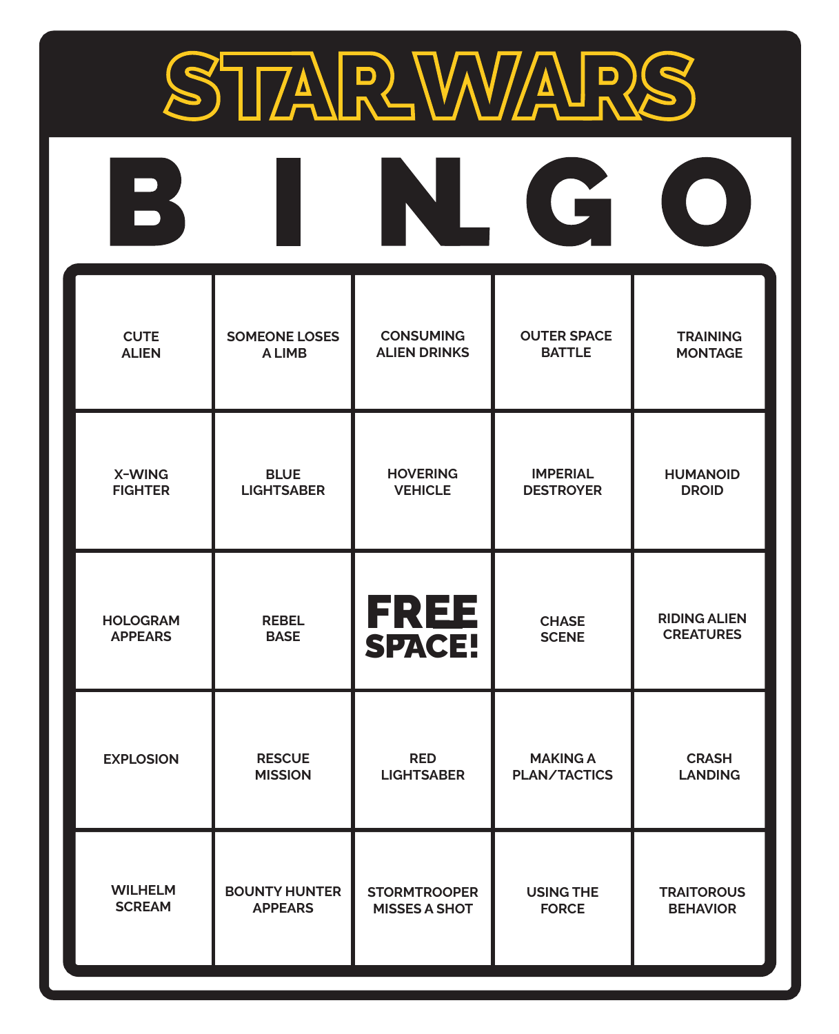

| $\overline{\mathbf{R}}$ |                      |                       | G                   | $\blacksquare$      |
|-------------------------|----------------------|-----------------------|---------------------|---------------------|
| <b>CUTE</b>             | <b>SOMEONE LOSES</b> | <b>CONSUMING</b>      | <b>OUTER SPACE</b>  | <b>TRAINING</b>     |
| <b>ALIEN</b>            | <b>ALIMB</b>         | <b>ALIEN DRINKS</b>   | <b>BATTLE</b>       | <b>MONTAGE</b>      |
| X-WING                  | <b>BLUE</b>          | <b>HOVERING</b>       | <b>IMPERIAL</b>     | <b>HUMANOID</b>     |
| <b>FIGHTER</b>          | <b>LIGHTSABER</b>    | <b>VEHICLE</b>        | <b>DESTROYER</b>    | <b>DROID</b>        |
| <b>HOLOGRAM</b>         | <b>REBEL</b>         | <b>FREE</b><br>SPACE! | <b>CHASE</b>        | <b>RIDING ALIEN</b> |
| <b>APPEARS</b>          | <b>BASE</b>          |                       | <b>SCENE</b>        | <b>CREATURES</b>    |
| <b>EXPLOSION</b>        | <b>RESCUE</b>        | <b>RED</b>            | <b>MAKING A</b>     | <b>CRASH</b>        |
|                         | <b>MISSION</b>       | <b>LIGHTSABER</b>     | <b>PLAN/TACTICS</b> | <b>LANDING</b>      |
| <b>WILHELM</b>          | <b>BOUNTY HUNTER</b> | <b>STORMTROOPER</b>   | <b>USING THE</b>    | <b>TRAITOROUS</b>   |
| <b>SCREAM</b>           | <b>APPEARS</b>       | <b>MISSES A SHOT</b>  | <b>FORCE</b>        | <b>BEHAVIOR</b>     |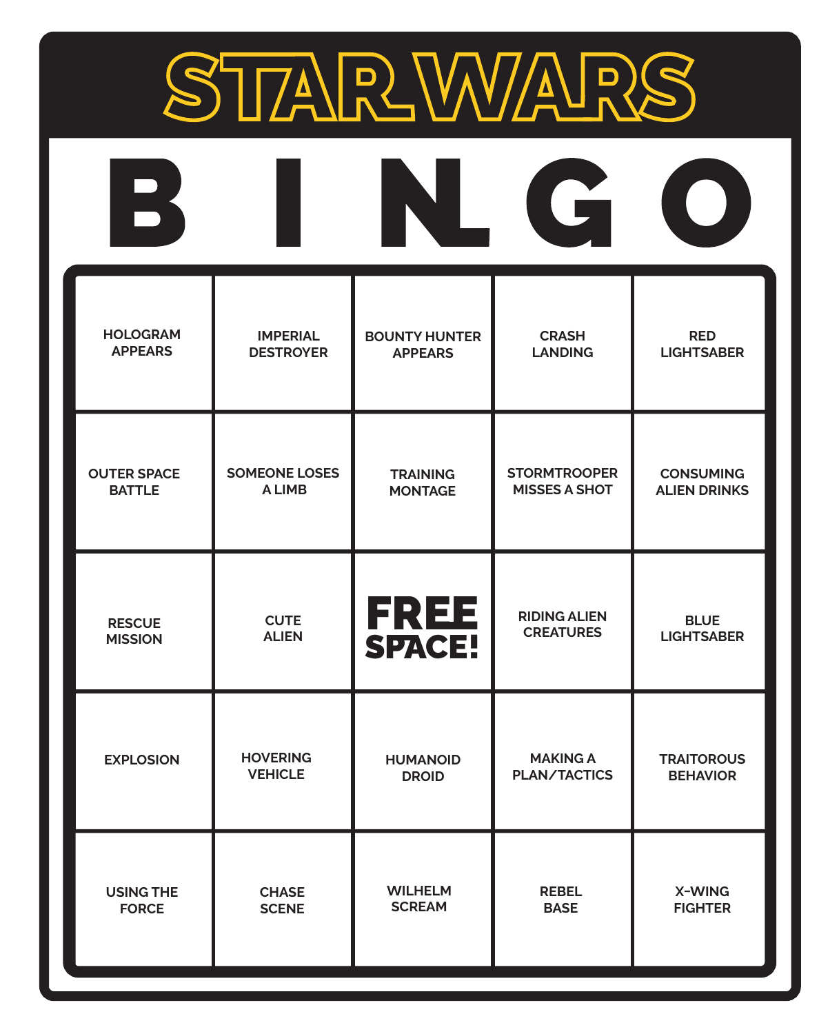

| $\overline{\phantom{a}}$ |                      |                       | G                    |                     |
|--------------------------|----------------------|-----------------------|----------------------|---------------------|
| <b>HOLOGRAM</b>          | <b>IMPERIAL</b>      | <b>BOUNTY HUNTER</b>  | <b>CRASH</b>         | <b>RED</b>          |
| <b>APPEARS</b>           | <b>DESTROYER</b>     | <b>APPEARS</b>        | <b>LANDING</b>       | <b>LIGHTSABER</b>   |
| <b>OUTER SPACE</b>       | <b>SOMEONE LOSES</b> | <b>TRAINING</b>       | <b>STORMTROOPER</b>  | <b>CONSUMING</b>    |
| <b>BATTLE</b>            | <b>ALIMB</b>         | <b>MONTAGE</b>        | <b>MISSES A SHOT</b> | <b>ALIEN DRINKS</b> |
| <b>RESCUE</b>            | <b>CUTE</b>          | <b>FREE</b><br>SPACE! | <b>RIDING ALIEN</b>  | <b>BLUE</b>         |
| <b>MISSION</b>           | <b>ALIEN</b>         |                       | <b>CREATURES</b>     | <b>LIGHTSABER</b>   |
| <b>EXPLOSION</b>         | <b>HOVERING</b>      | <b>HUMANOID</b>       | <b>MAKING A</b>      | <b>TRAITOROUS</b>   |
|                          | <b>VEHICLE</b>       | <b>DROID</b>          | <b>PLAN/TACTICS</b>  | <b>BEHAVIOR</b>     |
| <b>USING THE</b>         | <b>CHASE</b>         | <b>WILHELM</b>        | <b>REBEL</b>         | X-WING              |
| <b>FORCE</b>             | <b>SCENE</b>         | <b>SCREAM</b>         | <b>BASE</b>          | <b>FIGHTER</b>      |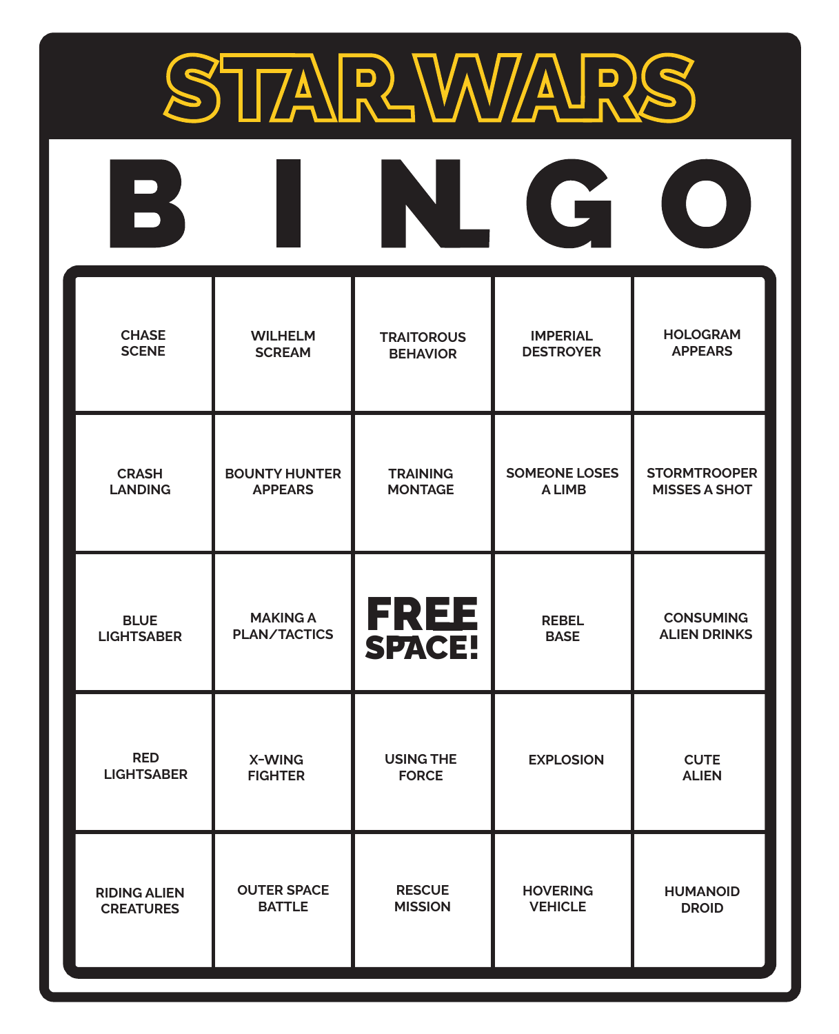

| $\mathbf{B}$        |                      |                       | G                    |                      |
|---------------------|----------------------|-----------------------|----------------------|----------------------|
| <b>CHASE</b>        | <b>WILHELM</b>       | <b>TRAITOROUS</b>     | <b>IMPERIAL</b>      | <b>HOLOGRAM</b>      |
| <b>SCENE</b>        | <b>SCREAM</b>        | <b>BEHAVIOR</b>       | <b>DESTROYER</b>     | <b>APPEARS</b>       |
| <b>CRASH</b>        | <b>BOUNTY HUNTER</b> | <b>TRAINING</b>       | <b>SOMEONE LOSES</b> | <b>STORMTROOPER</b>  |
| <b>LANDING</b>      | <b>APPEARS</b>       | <b>MONTAGE</b>        | <b>ALIMB</b>         | <b>MISSES A SHOT</b> |
| <b>BLUE</b>         | <b>MAKING A</b>      | <b>FREE</b><br>SPACE! | <b>REBEL</b>         | <b>CONSUMING</b>     |
| <b>LIGHTSABER</b>   | <b>PLAN/TACTICS</b>  |                       | <b>BASE</b>          | <b>ALIEN DRINKS</b>  |
| <b>RED</b>          | X-WING               | <b>USING THE</b>      | <b>EXPLOSION</b>     | <b>CUTE</b>          |
| <b>LIGHTSABER</b>   | <b>FIGHTER</b>       | <b>FORCE</b>          |                      | <b>ALIEN</b>         |
| <b>RIDING ALIEN</b> | <b>OUTER SPACE</b>   | <b>RESCUE</b>         | <b>HOVERING</b>      | <b>HUMANOID</b>      |
| <b>CREATURES</b>    | <b>BATTLE</b>        | <b>MISSION</b>        | <b>VEHICLE</b>       | <b>DROID</b>         |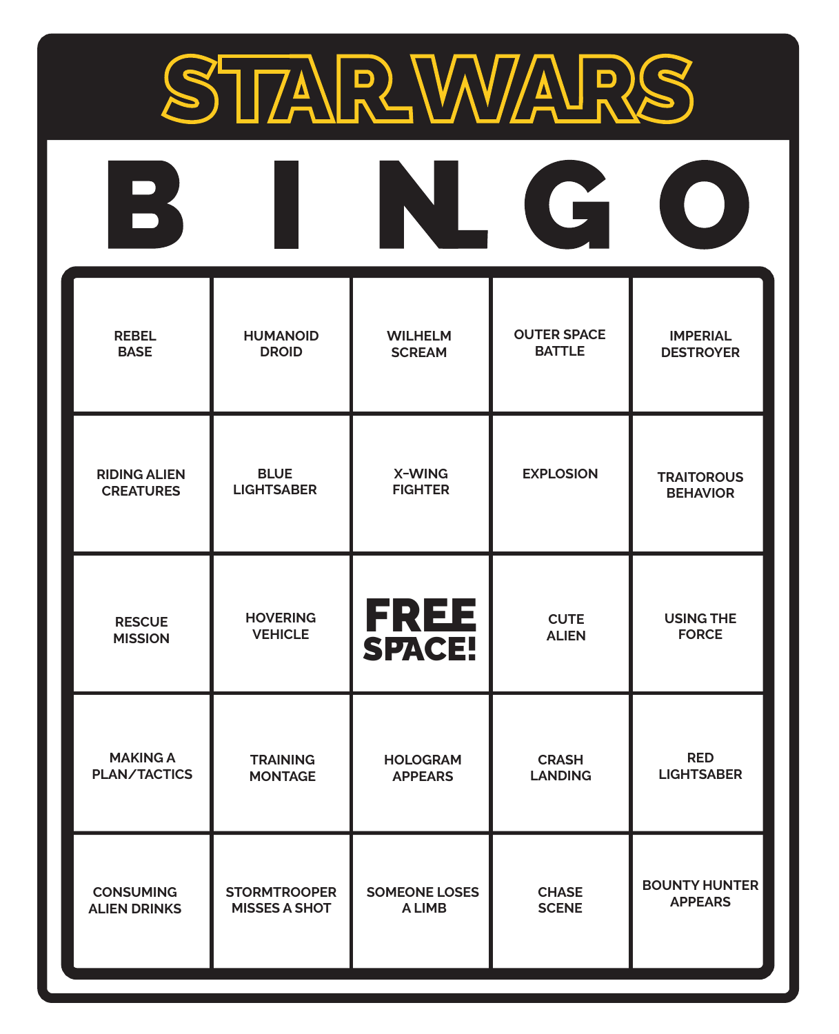

| $\mathbf{B}$        |                      |                       | G                  | $\left(\begin{array}{c} \end{array}\right)$ |
|---------------------|----------------------|-----------------------|--------------------|---------------------------------------------|
| <b>REBEL</b>        | <b>HUMANOID</b>      | <b>WILHELM</b>        | <b>OUTER SPACE</b> | <b>IMPERIAL</b>                             |
| <b>BASE</b>         | <b>DROID</b>         | <b>SCREAM</b>         | <b>BATTLE</b>      | <b>DESTROYER</b>                            |
| <b>RIDING ALIEN</b> | <b>BLUE</b>          | X-WING                | <b>EXPLOSION</b>   | <b>TRAITOROUS</b>                           |
| <b>CREATURES</b>    | <b>LIGHTSABER</b>    | <b>FIGHTER</b>        |                    | <b>BEHAVIOR</b>                             |
| <b>RESCUE</b>       | <b>HOVERING</b>      | <b>FREE</b><br>SPACE! | <b>CUTE</b>        | <b>USING THE</b>                            |
| <b>MISSION</b>      | <b>VEHICLE</b>       |                       | <b>ALIEN</b>       | <b>FORCE</b>                                |
| <b>MAKING A</b>     | <b>TRAINING</b>      | <b>HOLOGRAM</b>       | <b>CRASH</b>       | <b>RED</b>                                  |
| <b>PLAN/TACTICS</b> | <b>MONTAGE</b>       | <b>APPEARS</b>        | <b>LANDING</b>     | <b>LIGHTSABER</b>                           |
| <b>CONSUMING</b>    | <b>STORMTROOPER</b>  | <b>SOMEONE LOSES</b>  | <b>CHASE</b>       | <b>BOUNTY HUNTER</b>                        |
| <b>ALIEN DRINKS</b> | <b>MISSES A SHOT</b> | A LIMB                | <b>SCENE</b>       | <b>APPEARS</b>                              |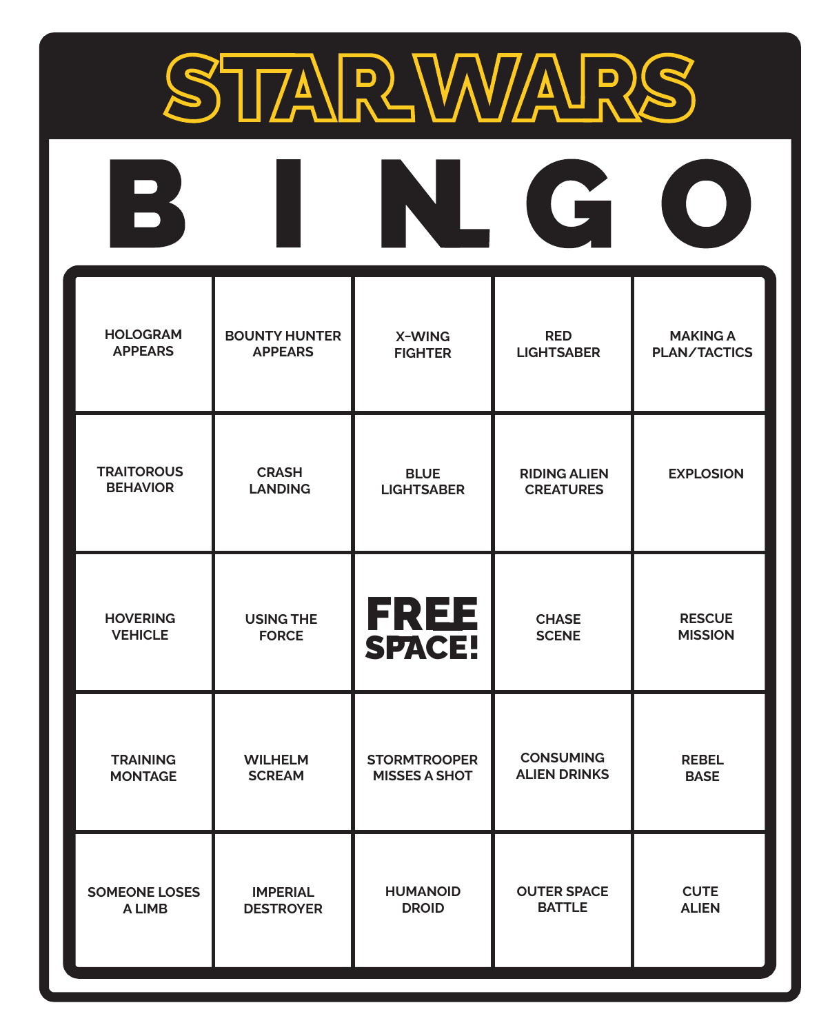

| B                    |                      |                       | G                   |                  |
|----------------------|----------------------|-----------------------|---------------------|------------------|
| <b>HOLOGRAM</b>      | <b>BOUNTY HUNTER</b> | X-WING                | <b>RED</b>          | <b>MAKING A</b>  |
| <b>APPEARS</b>       | <b>APPEARS</b>       | <b>FIGHTER</b>        | <b>LIGHTSABER</b>   | PLAN/TACTICS     |
| <b>TRAITOROUS</b>    | <b>CRASH</b>         | <b>BLUE</b>           | <b>RIDING ALIEN</b> | <b>EXPLOSION</b> |
| <b>BEHAVIOR</b>      | <b>LANDING</b>       | <b>LIGHTSABER</b>     | <b>CREATURES</b>    |                  |
| <b>HOVERING</b>      | <b>USING THE</b>     | <b>FREE</b><br>SPACE! | <b>CHASE</b>        | <b>RESCUE</b>    |
| <b>VEHICLE</b>       | <b>FORCE</b>         |                       | <b>SCENE</b>        | <b>MISSION</b>   |
| <b>TRAINING</b>      | <b>WILHELM</b>       | <b>STORMTROOPER</b>   | <b>CONSUMING</b>    | <b>REBEL</b>     |
| <b>MONTAGE</b>       | <b>SCREAM</b>        | <b>MISSES A SHOT</b>  | <b>ALIEN DRINKS</b> | <b>BASE</b>      |
| <b>SOMEONE LOSES</b> | <b>IMPERIAL</b>      | <b>HUMANOID</b>       | <b>OUTER SPACE</b>  | <b>CUTE</b>      |
| A LIMB               | <b>DESTROYER</b>     | <b>DROID</b>          | <b>BATTLE</b>       | <b>ALIEN</b>     |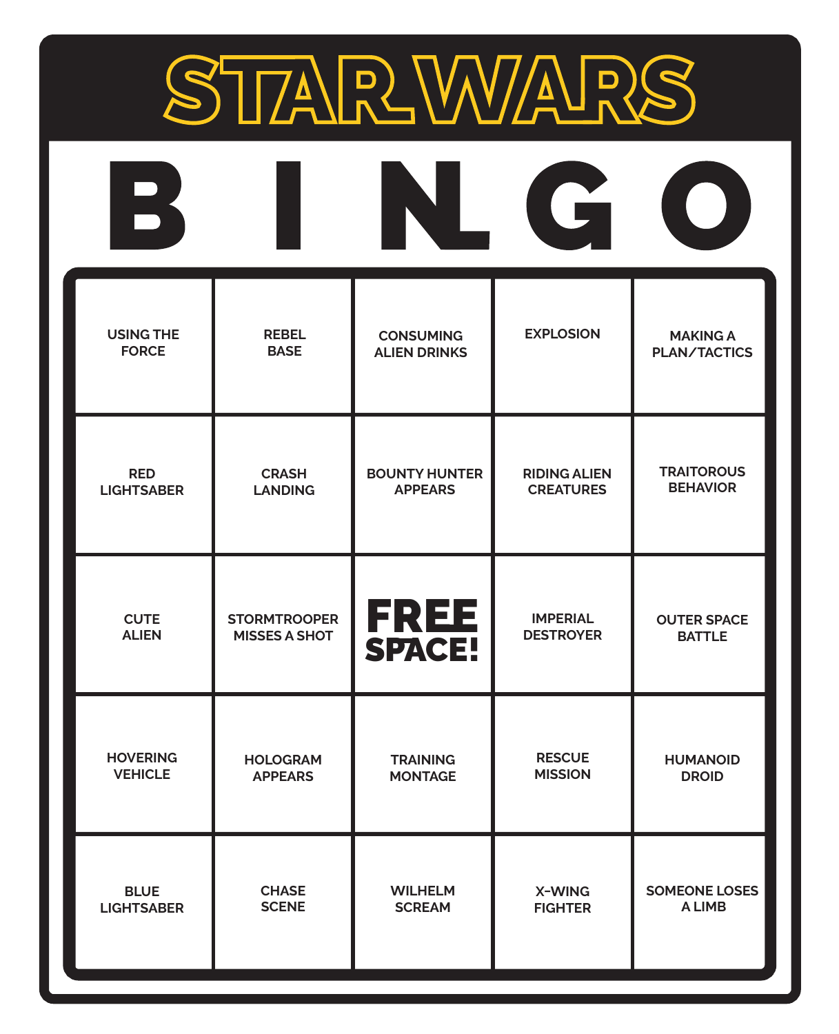

| $\mathbf{R}$      |                      |                       | G                   |                      |
|-------------------|----------------------|-----------------------|---------------------|----------------------|
| <b>USING THE</b>  | <b>REBEL</b>         | <b>CONSUMING</b>      | <b>EXPLOSION</b>    | <b>MAKING A</b>      |
| <b>FORCE</b>      | <b>BASE</b>          | <b>ALIEN DRINKS</b>   |                     | PLAN/TACTICS         |
| <b>RED</b>        | <b>CRASH</b>         | <b>BOUNTY HUNTER</b>  | <b>RIDING ALIEN</b> | <b>TRAITOROUS</b>    |
| <b>LIGHTSABER</b> | <b>LANDING</b>       | <b>APPEARS</b>        | <b>CREATURES</b>    | <b>BEHAVIOR</b>      |
| <b>CUTE</b>       | <b>STORMTROOPER</b>  | <b>FREE</b><br>SPACE! | <b>IMPERIAL</b>     | <b>OUTER SPACE</b>   |
| <b>ALIEN</b>      | <b>MISSES A SHOT</b> |                       | <b>DESTROYER</b>    | <b>BATTLE</b>        |
| <b>HOVERING</b>   | <b>HOLOGRAM</b>      | <b>TRAINING</b>       | <b>RESCUE</b>       | <b>HUMANOID</b>      |
| <b>VEHICLE</b>    | <b>APPEARS</b>       | <b>MONTAGE</b>        | <b>MISSION</b>      | <b>DROID</b>         |
| <b>BLUE</b>       | <b>CHASE</b>         | <b>WILHELM</b>        | X-WING              | <b>SOMEONE LOSES</b> |
| <b>LIGHTSABER</b> | <b>SCENE</b>         | <b>SCREAM</b>         | <b>FIGHTER</b>      | A LIMB               |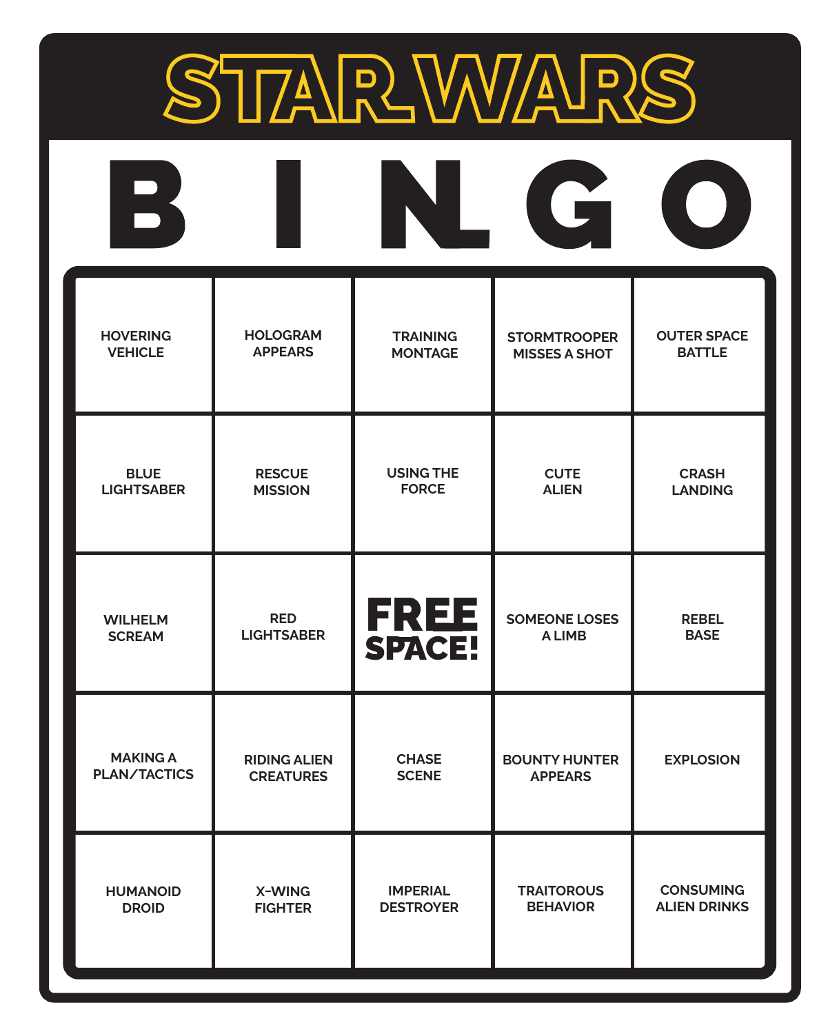

| $\mathbf{B}$        |                     |                       | G                    | $\begin{pmatrix} 1 \\ 1 \end{pmatrix}$ |
|---------------------|---------------------|-----------------------|----------------------|----------------------------------------|
| <b>HOVERING</b>     | <b>HOLOGRAM</b>     | <b>TRAINING</b>       | <b>STORMTROOPER</b>  | <b>OUTER SPACE</b>                     |
| <b>VEHICLE</b>      | <b>APPEARS</b>      | <b>MONTAGE</b>        | <b>MISSES A SHOT</b> | <b>BATTLE</b>                          |
| <b>BLUE</b>         | <b>RESCUE</b>       | <b>USING THE</b>      | <b>CUTE</b>          | <b>CRASH</b>                           |
| <b>LIGHTSABER</b>   | <b>MISSION</b>      | <b>FORCE</b>          | <b>ALIEN</b>         | <b>LANDING</b>                         |
| <b>WILHELM</b>      | <b>RED</b>          | <b>FREE</b><br>SPACE! | <b>SOMEONE LOSES</b> | <b>REBEL</b>                           |
| <b>SCREAM</b>       | <b>LIGHTSABER</b>   |                       | <b>ALIMB</b>         | <b>BASE</b>                            |
| <b>MAKING A</b>     | <b>RIDING ALIEN</b> | <b>CHASE</b>          | <b>BOUNTY HUNTER</b> | <b>EXPLOSION</b>                       |
| <b>PLAN/TACTICS</b> | <b>CREATURES</b>    | <b>SCENE</b>          | <b>APPEARS</b>       |                                        |
| <b>HUMANOID</b>     | X-WING              | <b>IMPERIAL</b>       | <b>TRAITOROUS</b>    | <b>CONSUMING</b>                       |
| <b>DROID</b>        | <b>FIGHTER</b>      | <b>DESTROYER</b>      | <b>BEHAVIOR</b>      | <b>ALIEN DRINKS</b>                    |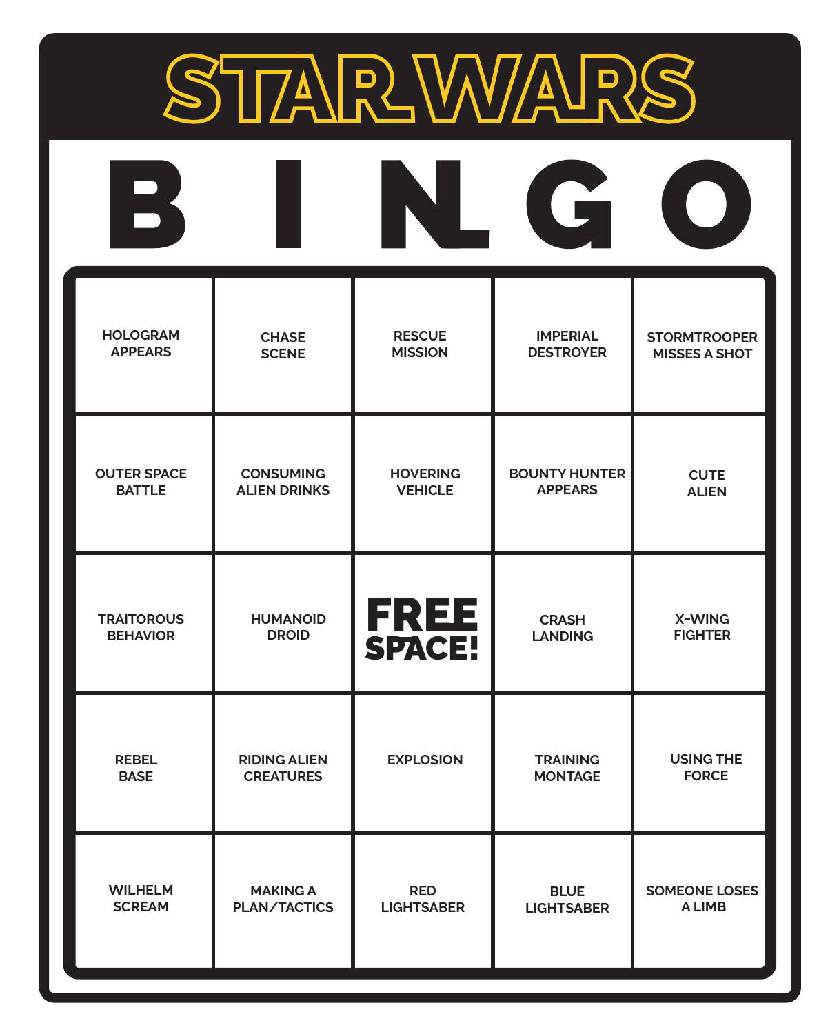

| $\mathbf{B}$       |                     |                       | G                    | $\begin{pmatrix} 1 & 1 \\ 1 & 1 \end{pmatrix}$ |
|--------------------|---------------------|-----------------------|----------------------|------------------------------------------------|
| <b>HOLOGRAM</b>    | <b>CHASE</b>        | <b>RESCUE</b>         | <b>IMPERIAL</b>      | <b>STORMTROOPER</b>                            |
| <b>APPEARS</b>     | <b>SCENE</b>        | <b>MISSION</b>        | <b>DESTROYER</b>     | <b>MISSES A SHOT</b>                           |
| <b>OUTER SPACE</b> | <b>CONSUMING</b>    | <b>HOVERING</b>       | <b>BOUNTY HUNTER</b> | <b>CUTE</b>                                    |
| <b>BATTLE</b>      | <b>ALIEN DRINKS</b> | <b>VEHICLE</b>        | <b>APPEARS</b>       | <b>ALIEN</b>                                   |
| <b>TRAITOROUS</b>  | <b>HUMANOID</b>     | <b>FREE</b><br>SPACE! | <b>CRASH</b>         | X-WING                                         |
| <b>BEHAVIOR</b>    | <b>DROID</b>        |                       | <b>LANDING</b>       | <b>FIGHTER</b>                                 |
| <b>REBEL</b>       | <b>RIDING ALIEN</b> | <b>EXPLOSION</b>      | <b>TRAINING</b>      | <b>USING THE</b>                               |
| <b>BASE</b>        | <b>CREATURES</b>    |                       | <b>MONTAGE</b>       | <b>FORCE</b>                                   |
| <b>WILHELM</b>     | <b>MAKING A</b>     | <b>RED</b>            | <b>BLUE</b>          | <b>SOMEONE LOSES</b>                           |
| <b>SCREAM</b>      | <b>PLAN/TACTICS</b> | <b>LIGHTSABER</b>     | <b>LIGHTSABER</b>    | A LIMB                                         |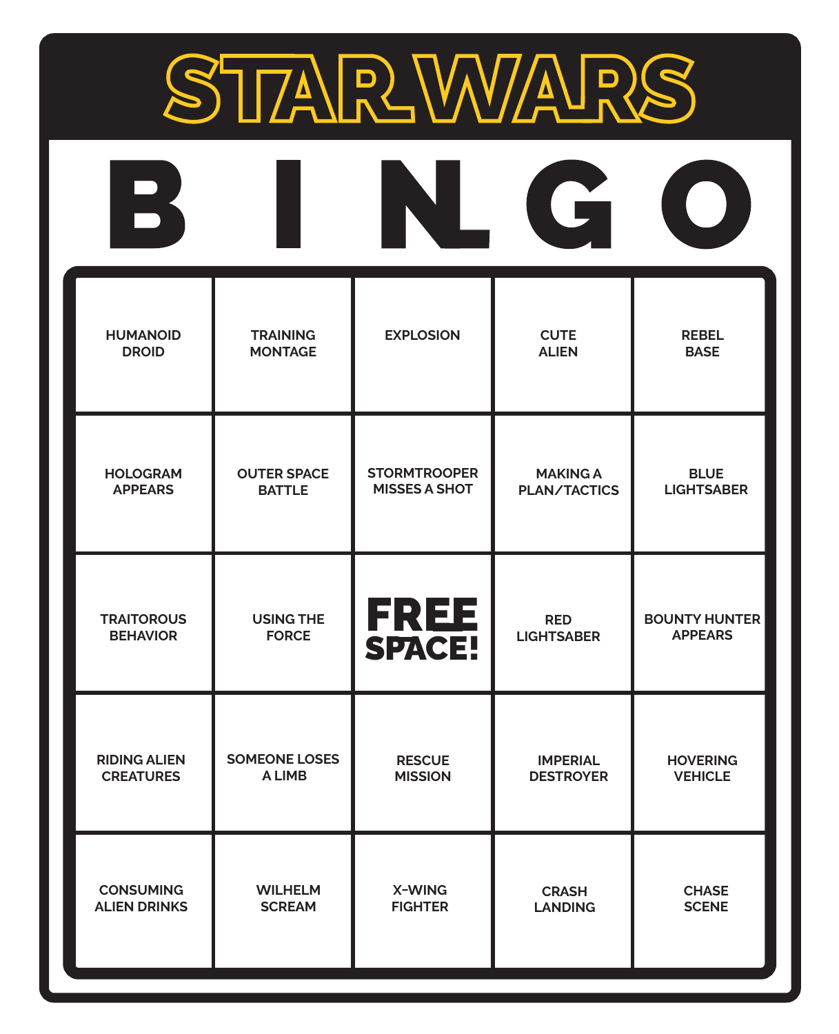

| $\mathbf{B}$        |                      |                       | G                   |                      |
|---------------------|----------------------|-----------------------|---------------------|----------------------|
| <b>HUMANOID</b>     | <b>TRAINING</b>      | <b>EXPLOSION</b>      | <b>CUTE</b>         | <b>REBEL</b>         |
| <b>DROID</b>        | <b>MONTAGE</b>       |                       | <b>ALIEN</b>        | <b>BASE</b>          |
| <b>HOLOGRAM</b>     | <b>OUTER SPACE</b>   | <b>STORMTROOPER</b>   | <b>MAKING A</b>     | <b>BLUE</b>          |
| <b>APPEARS</b>      | <b>BATTLE</b>        | <b>MISSES A SHOT</b>  | <b>PLAN/TACTICS</b> | <b>LIGHTSABER</b>    |
| <b>TRAITOROUS</b>   | <b>USING THE</b>     | <b>FREE</b><br>SPACE! | <b>RED</b>          | <b>BOUNTY HUNTER</b> |
| <b>BEHAVIOR</b>     | <b>FORCE</b>         |                       | <b>LIGHTSABER</b>   | <b>APPEARS</b>       |
| <b>RIDING ALIEN</b> | <b>SOMEONE LOSES</b> | <b>RESCUE</b>         | <b>IMPERIAL</b>     | <b>HOVERING</b>      |
| <b>CREATURES</b>    | <b>ALIMB</b>         | <b>MISSION</b>        | <b>DESTROYER</b>    | <b>VEHICLE</b>       |
| <b>CONSUMING</b>    | <b>WILHELM</b>       | X-WING                | <b>CRASH</b>        | <b>CHASE</b>         |
| <b>ALIEN DRINKS</b> | <b>SCREAM</b>        | <b>FIGHTER</b>        | <b>LANDING</b>      | <b>SCENE</b>         |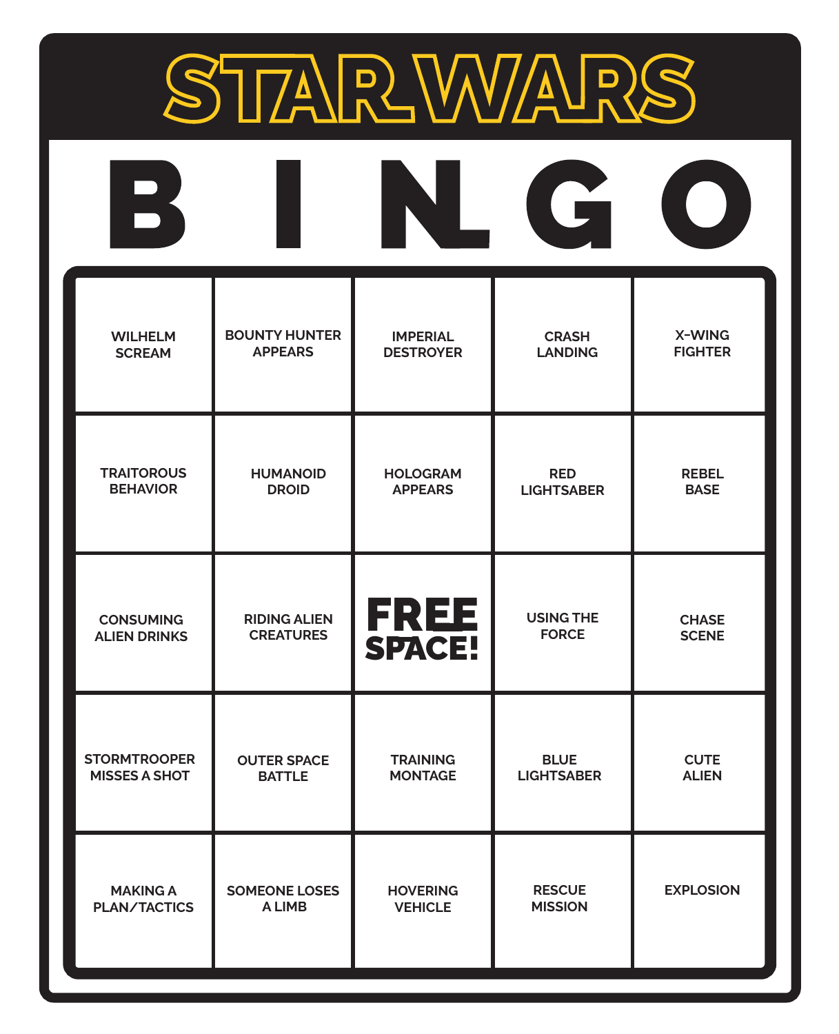

| $\mathbf{B}$         |                      |                  | G                 |                  |
|----------------------|----------------------|------------------|-------------------|------------------|
| <b>WILHELM</b>       | <b>BOUNTY HUNTER</b> | <b>IMPERIAL</b>  | <b>CRASH</b>      | X-WING           |
| <b>SCREAM</b>        | <b>APPEARS</b>       | <b>DESTROYER</b> | <b>LANDING</b>    | <b>FIGHTER</b>   |
| <b>TRAITOROUS</b>    | <b>HUMANOID</b>      | <b>HOLOGRAM</b>  | <b>RED</b>        | <b>REBEL</b>     |
| <b>BEHAVIOR</b>      | <b>DROID</b>         | <b>APPEARS</b>   | <b>LIGHTSABER</b> | <b>BASE</b>      |
| <b>CONSUMING</b>     | <b>RIDING ALIEN</b>  | <b>FREE</b>      | <b>USING THE</b>  | <b>CHASE</b>     |
| <b>ALIEN DRINKS</b>  | <b>CREATURES</b>     | <b>SPACE!</b>    | <b>FORCE</b>      | <b>SCENE</b>     |
| <b>STORMTROOPER</b>  | <b>OUTER SPACE</b>   | <b>TRAINING</b>  | <b>BLUE</b>       | <b>CUTE</b>      |
| <b>MISSES A SHOT</b> | <b>BATTLE</b>        | <b>MONTAGE</b>   | <b>LIGHTSABER</b> | <b>ALIEN</b>     |
| <b>MAKING A</b>      | <b>SOMEONE LOSES</b> | <b>HOVERING</b>  | <b>RESCUE</b>     | <b>EXPLOSION</b> |
| <b>PLAN/TACTICS</b>  | A LIMB               | <b>VEHICLE</b>   | <b>MISSION</b>    |                  |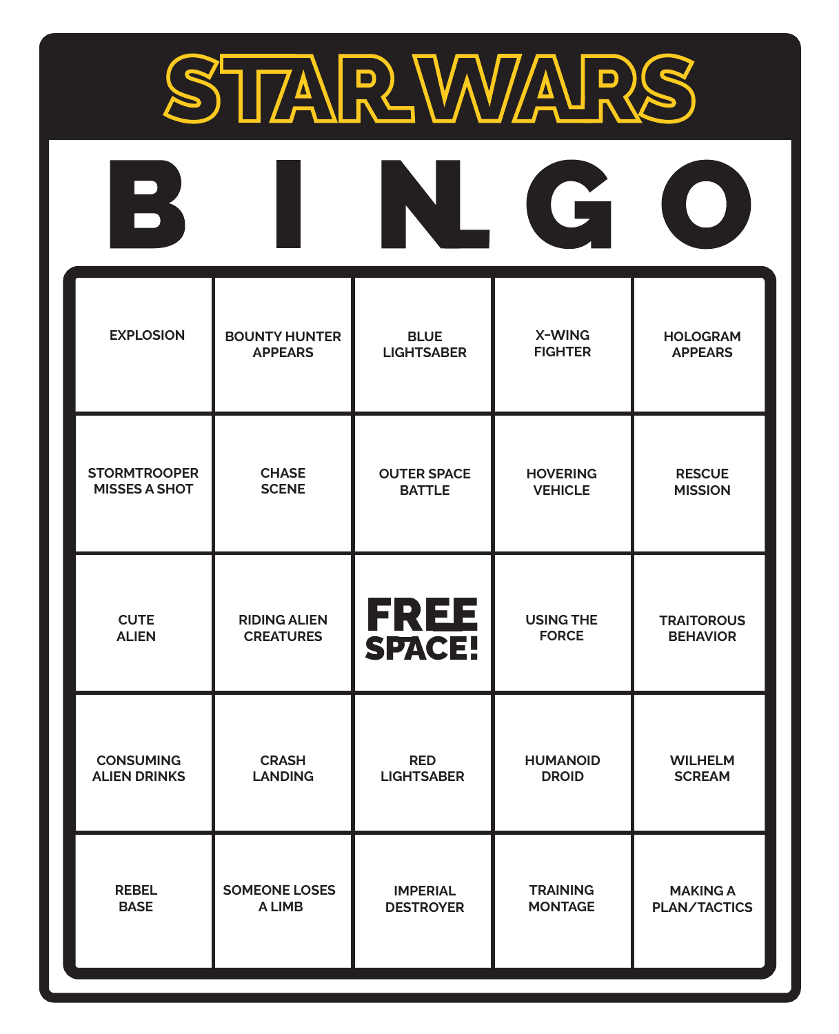

| $\overline{\phantom{a}}$ |                      |                       | G                |                     |
|--------------------------|----------------------|-----------------------|------------------|---------------------|
| <b>EXPLOSION</b>         | <b>BOUNTY HUNTER</b> | <b>BLUE</b>           | X-WING           | <b>HOLOGRAM</b>     |
|                          | <b>APPEARS</b>       | <b>LIGHTSABER</b>     | <b>FIGHTER</b>   | <b>APPEARS</b>      |
| <b>STORMTROOPER</b>      | <b>CHASE</b>         | <b>OUTER SPACE</b>    | <b>HOVERING</b>  | <b>RESCUE</b>       |
| <b>MISSES A SHOT</b>     | <b>SCENE</b>         | <b>BATTLE</b>         | <b>VEHICLE</b>   | <b>MISSION</b>      |
| <b>CUTE</b>              | <b>RIDING ALIEN</b>  | <b>FREE</b><br>SPACE! | <b>USING THE</b> | <b>TRAITOROUS</b>   |
| <b>ALIEN</b>             | <b>CREATURES</b>     |                       | <b>FORCE</b>     | <b>BEHAVIOR</b>     |
| <b>CONSUMING</b>         | <b>CRASH</b>         | <b>RED</b>            | <b>HUMANOID</b>  | <b>WILHELM</b>      |
| <b>ALIEN DRINKS</b>      | <b>LANDING</b>       | <b>LIGHTSABER</b>     | <b>DROID</b>     | <b>SCREAM</b>       |
| <b>REBEL</b>             | <b>SOMEONE LOSES</b> | <b>IMPERIAL</b>       | <b>TRAINING</b>  | <b>MAKING A</b>     |
| <b>BASE</b>              | <b>ALIMB</b>         | <b>DESTROYER</b>      | <b>MONTAGE</b>   | <b>PLAN/TACTICS</b> |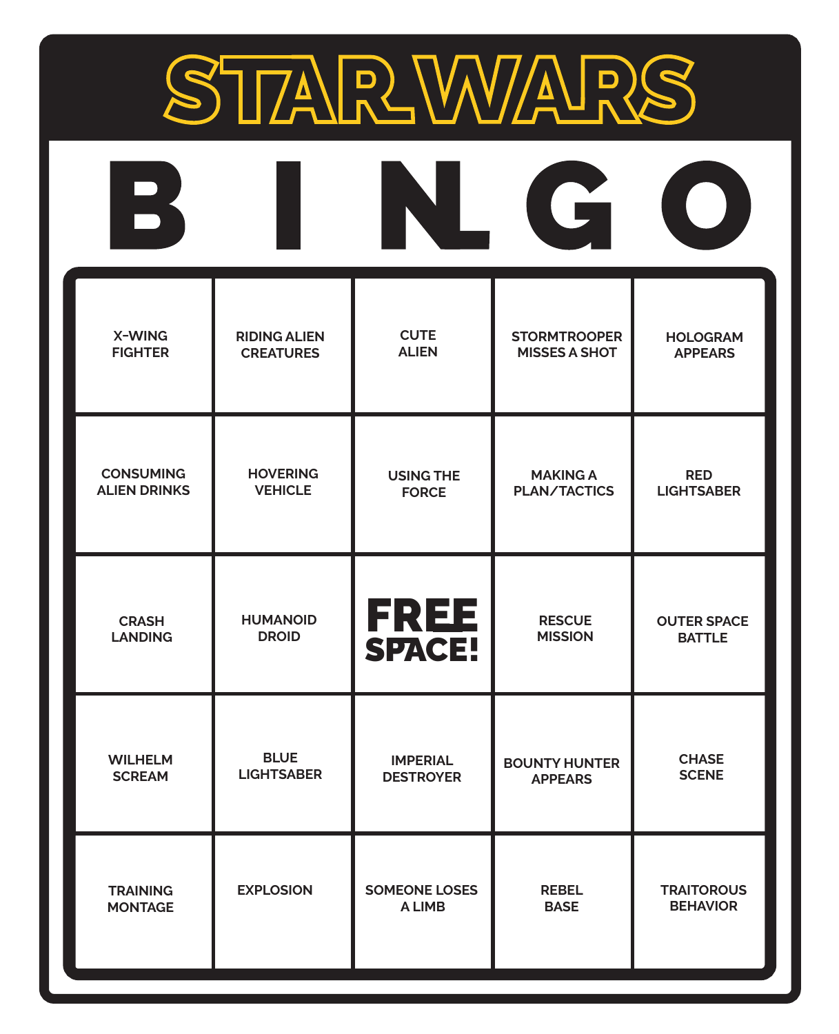

| $\overline{\phantom{a}}$ |                     |                      | G                    | $\blacksquare$     |
|--------------------------|---------------------|----------------------|----------------------|--------------------|
| X-WING                   | <b>RIDING ALIEN</b> | <b>CUTE</b>          | <b>STORMTROOPER</b>  | <b>HOLOGRAM</b>    |
| <b>FIGHTER</b>           | <b>CREATURES</b>    | <b>ALIEN</b>         | <b>MISSES A SHOT</b> | <b>APPEARS</b>     |
| <b>CONSUMING</b>         | <b>HOVERING</b>     | <b>USING THE</b>     | <b>MAKING A</b>      | <b>RED</b>         |
| <b>ALIEN DRINKS</b>      | <b>VEHICLE</b>      | <b>FORCE</b>         | <b>PLAN/TACTICS</b>  | <b>LIGHTSABER</b>  |
| <b>CRASH</b>             | <b>HUMANOID</b>     | <b>FREE</b>          | <b>RESCUE</b>        | <b>OUTER SPACE</b> |
| <b>LANDING</b>           | <b>DROID</b>        | <b>SPACE!</b>        | <b>MISSION</b>       | <b>BATTLE</b>      |
| <b>WILHELM</b>           | <b>BLUE</b>         | <b>IMPERIAL</b>      | <b>BOUNTY HUNTER</b> | <b>CHASE</b>       |
| <b>SCREAM</b>            | <b>LIGHTSABER</b>   | <b>DESTROYER</b>     | <b>APPEARS</b>       | <b>SCENE</b>       |
| <b>TRAINING</b>          | <b>EXPLOSION</b>    | <b>SOMEONE LOSES</b> | <b>REBEL</b>         | <b>TRAITOROUS</b>  |
| <b>MONTAGE</b>           |                     | <b>ALIMB</b>         | <b>BASE</b>          | <b>BEHAVIOR</b>    |